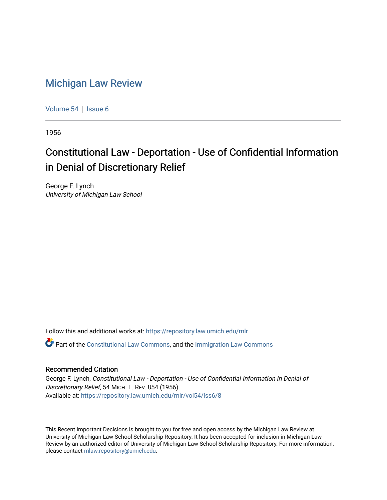## [Michigan Law Review](https://repository.law.umich.edu/mlr)

[Volume 54](https://repository.law.umich.edu/mlr/vol54) | [Issue 6](https://repository.law.umich.edu/mlr/vol54/iss6)

1956

## Constitutional Law - Deportation - Use of Confidential Information in Denial of Discretionary Relief

George F. Lynch University of Michigan Law School

Follow this and additional works at: [https://repository.law.umich.edu/mlr](https://repository.law.umich.edu/mlr?utm_source=repository.law.umich.edu%2Fmlr%2Fvol54%2Fiss6%2F8&utm_medium=PDF&utm_campaign=PDFCoverPages) 

 $\bullet$  Part of the [Constitutional Law Commons,](http://network.bepress.com/hgg/discipline/589?utm_source=repository.law.umich.edu%2Fmlr%2Fvol54%2Fiss6%2F8&utm_medium=PDF&utm_campaign=PDFCoverPages) and the Immigration Law Commons

## Recommended Citation

George F. Lynch, Constitutional Law - Deportation - Use of Confidential Information in Denial of Discretionary Relief, 54 MICH. L. REV. 854 (1956). Available at: [https://repository.law.umich.edu/mlr/vol54/iss6/8](https://repository.law.umich.edu/mlr/vol54/iss6/8?utm_source=repository.law.umich.edu%2Fmlr%2Fvol54%2Fiss6%2F8&utm_medium=PDF&utm_campaign=PDFCoverPages)

This Recent Important Decisions is brought to you for free and open access by the Michigan Law Review at University of Michigan Law School Scholarship Repository. It has been accepted for inclusion in Michigan Law Review by an authorized editor of University of Michigan Law School Scholarship Repository. For more information, please contact [mlaw.repository@umich.edu.](mailto:mlaw.repository@umich.edu)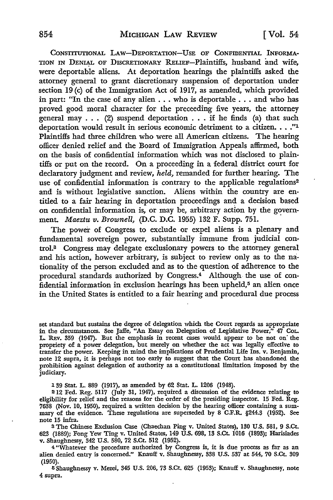CONSTITUTIONAL LAW-DEPORTATION-USE OF CONFIDENTIAL INFORMA-TION IN DENIAL OF DISCRETIONARY RELIEF-Plaintiffs, husband and wife, were deportable aliens. At deportation hearings the plaintiffs asked the attorney general to grant discretionary suspension of deportation under section 19 (c) of the Immigration Act of 1917, as amended, which provided in part: "In the case of any alien  $\dots$  who is deportable  $\dots$  and who has proved good moral character for the preceeding five years, the attorney general may  $\ldots$  (2) suspend deportation  $\ldots$  if he finds (a) that such deportation would result in serious economic detriment to a citizen.  $\ldots$ ."<sup>1</sup> Plaintiffs had three children who were all American citizens. The hearing officer denied relief and the Board of Immigration Appeals affirmed, both on the basis of confidential information which was not disclosed to plaintiffs or put on the record. On a proceeding in a federal district court for declaratory judgment and review, *held,* remanded for further hearing. The use of confidential information is contrary to the applicable regulations<sup>2</sup> and is without legislative sanction. Aliens within the country are entitled to a fair hearing in deportation proceedings and a decision based on confidential information is, or may be, arbitrary action by the government. *Maeztu v. Brownell,* **(D.C. D.C.** 1955) 132 F. Supp. 751. ·

The power of Congress to exclude or expel aliens is a plenary and fundamental sovereign power, substantially immune from judicial control.8 Congress may delegate exclusionary powers to the attorney general and his action, however arbitrary, is subject to review only as to the nationality of the person excluded and as to the question of adherence to the procedural standards authorized by Congress.4 Although the use of confidential information in exclusion hearings has been upheld,<sup>5</sup> an alien once in the United States is entitled to a fair hearing and procedural due process

set standard but sustains the degree of delegation which the Court regards as appropriate in the circumstances. See Jaffe, "An Essay on Delegation of Legislative Power," 47 CoL. L. REv. 359 (1947). But the emphasis in recent cases would appear to be not on· the propriety of a power delegation, but merely on whether the act was legally effective to transfer the power. Keeping in mind the implications of Prudential Life Ins. v. Benjamin, note 12 supra, it is perhaps not too early to suggest that the Court has abandoned the prohibition against delegation of authority as a constitutional limitation imposed by the judiciary.

139 Stat. L. 889 (1917), as amended by 62 Stat. L. 1206 (1948).

212 Fed. Reg. 5117 (July 31, 1947), required a discussion of the evidence relating to eligibility for relief and the reasons for the order of the presiding inspector. 15 Fed. Reg. 7638 (Nov. 10, 1950), required a written decision by the hearing officer containing a summary of the evidence. These regulations are superseded by 8 C.F.R. §244.3 (1952). See note 15 infra.

8 The Chinese Exclusion Case (Chaechan Ping v. United States), 130 U.S. 581, 9 S.Ct. 623 (1889); Fong Yew Ting v. United States, 149 U.S. 698, 13 S.Ct. 1016 (1893); Harisiades v. Shaughnessy, 342 U.S. 580, 72 S.Ct. 512 (1952).

<sup>4</sup>"Whatever the procedure authorized by Congress is, it is due process as far as an alien denied entry is concerned." Knauff v. Shaughnessy, 338 U.S. 537 at 544, 70 S.Ct. 309 (1950).

5 Shaughnessy v. Mezei, 345 U.S. 206, 73 S.Ct. 625 (1953); Knauff v. Shaughnessy, note 4 supra.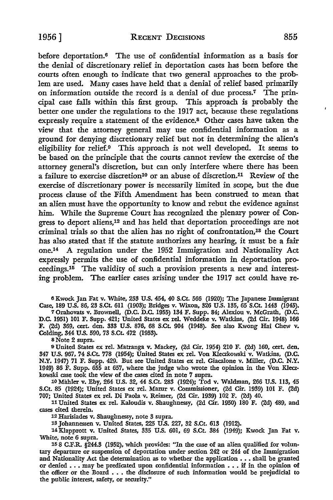before deportation.6 The use of confidential information as a basis for the denial of discretionary relief in deportation cases has been before the courts often enough to indicate that two general approaches to the prob. lem are used. Many cases have held that a denial of relief based primarily on information outside the record is a denial of due process.7 The principal case falls within this first group. This approach is probably the better one under the regulations to the 1917 act, because these regulations expressly require a statement of the evidence.8 Other cases have taken the view that the attorney general may use confidential information as a ground for denying discretionary relief but not in determining the alien's eligibility for relief.9 This approach is not well developed. It seems to be based on the principle that the courts cannot review the exercise of the attorney general's discretion, but can only interfere where there has been a failure to exercise discretion<sup>10</sup> or an abuse of discretion.<sup>11</sup> Review of the exercise of discretionary power is necessarily limited in scope, but the due process clause of the Fifth Amendment has been construed to mean that an alien must have the opportunity to know and rebut the evidence against him. While the Supreme Court has recognized the plenary power of Congress to deport aliens,12 and has held that deportation proceedings are not criminal trials so that the alien has no right of confrontation,13 the Court has also stated that if the statute authorizes any hearing, it must be a fair one.14 A regulation under the 1952 Immigration and Nationality Act expressly permits the use of confidential information in deportation proceedings.15 The validity of such a provision presents a new and interesting problem. The earlier cases arising under the 1917 act could have re-

<sup>6</sup>Kwock Jan Fat v. White, 253 U.S. 454, 40 S.Ct. 566 (1920); The Japanese Immigrant Case, 189 U.S. 86, 23 S.Ct. 611 (1903); Bridges v. Wixon, 326 U.S. 135, 65 S.Ct. 1443 (1945). 7 Orahovats v. Brownell, (D.C. D.C. 1955) 134 F. Supp. 84; Alexiou v. McGrath, (D.C. D.C. 1951) 101 F. Supp. 421; United States ex rel. Weddeke v. Watkins, (2d Cir. 1948) 166 F. (2d) 369, cert. den. 333 U.S. 876, 68 S.Ct. 904 (1948). See also Kwong Hai Chew v.

Colding, 344 U.S. 590, 73 S.Ct. 472 (1953).

8 Note 2 supra.

<sup>9</sup>United States ex rel. Matranga v. Mackey, (2d Cir. 1954) 210 F. (2d) 160, cert. den. 347 U.S. 967, 74 S.Ct. 778 (1954); United States ex rel. Von Kleczkowski v. Watkins, (D.C. N.Y. 1947) 71 F. Supp. 429. But see United States ex rel. Giacalone v. Miller, (D.C. N.Y. 1949) 86 F. Supp. 655 at 657, where the judge who wrote the opinion in the Von Kleczkowski case took the view of the cases cited in note 7 supra.

10 Mahler v. Eby, 264 U.S. 32, 44 S.Ct. 283 (1924); Tod v. Waldman, 266 U.S. 113, 45 S.Ct. 85 (1924); United States ex rel. Mazur v. Commissioner, (2d Cir. 1939) 101 F. (2d) 707; United States ex rel. Di Paola v. Reimer, (2d Cir. 1939) 102 F. (2d) 40.

11 United States ex rel. Kaloudis v. Shaughnessy, (2d Cir. 1950) 180 F. (2d) 489, and cases cited therein.

12 Harisiades v. Shaughnessy, note 3 supra.

13 Johannessen v. United States, 225 U.S. 227, 32 S.Ct. 613 (1912).

14 Klapprott v. United States, 335 U.S. 601, 69 S.Ct. 384 (1949); Kwock Jan Fat v. White, note 6 supra.

15 8 C.F.R. §244.3 (1952), which provides: "In the case of an alien qualified for voluntary departure or suspension of deportation under section 242 or 244 of the Immigration and Nationality Act the determination as to whether the application  $\ldots$  shall be granted or denied  $\ldots$  may be predicated upon confidential information  $\ldots$  if in the opinion of the officer or the Board • • • the disclosure of such information would be prejudicial to the public interest, safety, or security."